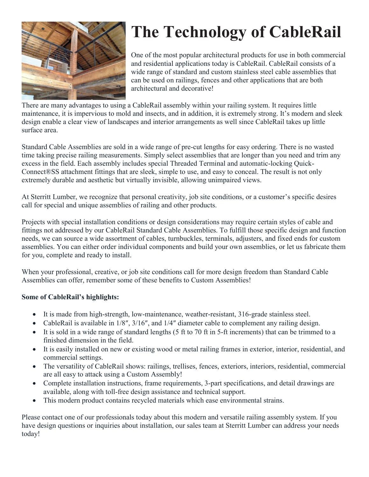

# **The Technology of CableRail**

One of the most popular architectural products for use in both commercial and residential applications today is CableRail. CableRail consists of a wide range of standard and custom stainless steel cable assemblies that can be used on railings, fences and other applications that are both architectural and decorative!

There are many advantages to using a CableRail assembly within your railing system. It requires little maintenance, it is impervious to mold and insects, and in addition, it is extremely strong. It's modern and sleek design enable a clear view of landscapes and interior arrangements as well since CableRail takes up little surface area.

Standard Cable Assemblies are sold in a wide range of pre-cut lengths for easy ordering. There is no wasted time taking precise railing measurements. Simply select assemblies that are longer than you need and trim any excess in the field. Each assembly includes special Threaded Terminal and automatic-locking Quick-Connect®SS attachment fittings that are sleek, simple to use, and easy to conceal. The result is not only extremely durable and aesthetic but virtually invisible, allowing unimpaired views.

At Sterritt Lumber, we recognize that personal creativity, job site conditions, or a customer's specific desires call for special and unique assemblies of railing and other products.

Projects with special installation conditions or design considerations may require certain styles of cable and fittings not addressed by our CableRail Standard Cable Assemblies. To fulfill those specific design and function needs, we can source a wide assortment of cables, turnbuckles, terminals, adjusters, and fixed ends for custom assemblies. You can either order individual components and build your own assemblies, or let us fabricate them for you, complete and ready to install.

When your professional, creative, or job site conditions call for more design freedom than Standard Cable Assemblies can offer, remember some of these benefits to Custom Assemblies!

### **Some of CableRail's highlights:**

- It is made from high-strength, low-maintenance, weather-resistant, 316-grade stainless steel.
- CableRail is available in  $1/8$ ",  $3/16$ ", and  $1/4$ " diameter cable to complement any railing design.
- $\bullet$  It is sold in a wide range of standard lengths (5 ft to 70 ft in 5-ft increments) that can be trimmed to a finished dimension in the field.
- It is easily installed on new or existing wood or metal railing frames in exterior, interior, residential, and commercial settings.
- The versatility of CableRail shows: railings, trellises, fences, exteriors, interiors, residential, commercial are all easy to attack using a Custom Assembly!
- Complete installation instructions, frame requirements, 3-part specifications, and detail drawings are available, along with toll-free design assistance and technical support.
- This modern product contains recycled materials which ease environmental strains.

Please contact one of our professionals today about this modern and versatile railing assembly system. If you have design questions or inquiries about installation, our sales team at Sterritt Lumber can address your needs today!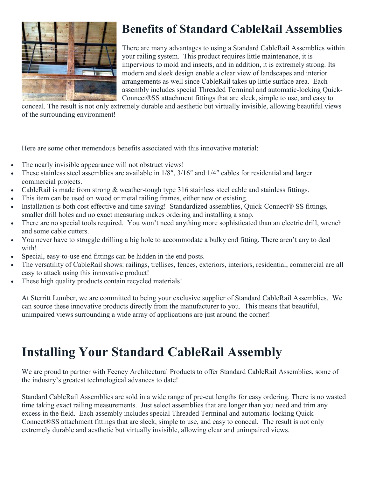

# **Benefits of Standard CableRail Assemblies**

There are many advantages to using a Standard CableRail Assemblies within your railing system. This product requires little maintenance, it is impervious to mold and insects, and in addition, it is extremely strong. Its modern and sleek design enable a clear view of landscapes and interior arrangements as well since CableRail takes up little surface area. Each assembly includes special Threaded Terminal and automatic-locking Quick-Connect®SS attachment fittings that are sleek, simple to use, and easy to

conceal. The result is not only extremely durable and aesthetic but virtually invisible, allowing beautiful views of the surrounding environment!

Here are some other tremendous benefits associated with this innovative material:

- The nearly invisible appearance will not obstruct views!
- These stainless steel assemblies are available in 1/8", 3/16" and 1/4" cables for residential and larger commercial projects.
- CableRail is made from strong & weather-tough type 316 stainless steel cable and stainless fittings.
- This item can be used on wood or metal railing frames, either new or existing.
- Installation is both cost effective and time saving! Standardized assemblies, Quick-Connect® SS fittings, smaller drill holes and no exact measuring makes ordering and installing a snap.
- There are no special tools required. You won't need anything more sophisticated than an electric drill, wrench and some cable cutters.
- x You never have to struggle drilling a big hole to accommodate a bulky end fitting. There aren't any to deal with!
- Special, easy-to-use end fittings can be hidden in the end posts.
- The versatility of CableRail shows: railings, trellises, fences, exteriors, interiors, residential, commercial are all easy to attack using this innovative product!
- These high quality products contain recycled materials!

At Sterritt Lumber, we are committed to being your exclusive supplier of Standard CableRail Assemblies. We can source these innovative products directly from the manufacturer to you. This means that beautiful, unimpaired views surrounding a wide array of applications are just around the corner!

# **Installing Your Standard CableRail Assembly**

We are proud to partner with Feeney Architectural Products to offer Standard CableRail Assemblies, some of the industry's greatest technological advances to date!

Standard CableRail Assemblies are sold in a wide range of pre-cut lengths for easy ordering. There is no wasted time taking exact railing measurements. Just select assemblies that are longer than you need and trim any excess in the field. Each assembly includes special Threaded Terminal and automatic-locking Quick-Connect®SS attachment fittings that are sleek, simple to use, and easy to conceal. The result is not only extremely durable and aesthetic but virtually invisible, allowing clear and unimpaired views.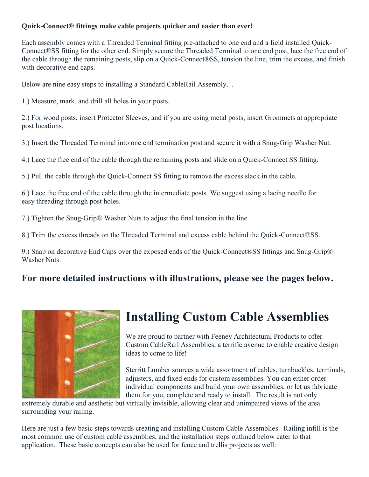### **Quick-Connect® fittings make cable projects quicker and easier than ever!**

Each assembly comes with a Threaded Terminal fitting pre-attached to one end and a field installed Quick-Connect®SS fitting for the other end. Simply secure the Threaded Terminal to one end post, lace the free end of the cable through the remaining posts, slip on a Quick-Connect®SS, tension the line, trim the excess, and finish with decorative end caps.

Below are nine easy steps to installing a Standard CableRail Assembly…

1.) Measure, mark, and drill all holes in your posts.

2.) For wood posts, insert Protector Sleeves, and if you are using metal posts, insert Grommets at appropriate post locations.

3.) Insert the Threaded Terminal into one end termination post and secure it with a Snug-Grip Washer Nut.

4.) Lace the free end of the cable through the remaining posts and slide on a Quick-Connect SS fitting.

5.) Pull the cable through the Quick-Connect SS fitting to remove the excess slack in the cable.

6.) Lace the free end of the cable through the intermediate posts. We suggest using a lacing needle for easy threading through post holes.

7.) Tighten the Snug-Grip® Washer Nuts to adjust the final tension in the line.

8.) Trim the excess threads on the Threaded Terminal and excess cable behind the Quick-Connect®SS.

9.) Snap on decorative End Caps over the exposed ends of the Quick-Connect®SS fittings and Snug-Grip® Washer Nuts.

### **For more detailed instructions with illustrations, please see the pages below.**



# **Installing Custom Cable Assemblies**

We are proud to partner with Feeney Architectural Products to offer Custom CableRail Assemblies, a terrific avenue to enable creative design ideas to come to life!

Sterritt Lumber sources a wide assortment of cables, turnbuckles, terminals, adjusters, and fixed ends for custom assemblies. You can either order individual components and build your own assemblies, or let us fabricate them for you, complete and ready to install. The result is not only

extremely durable and aesthetic but virtually invisible, allowing clear and unimpaired views of the area surrounding your railing.

Here are just a few basic steps towards creating and installing Custom Cable Assemblies. Railing infill is the most common use of custom cable assemblies, and the installation steps outlined below cater to that application. These basic concepts can also be used for fence and trellis projects as well: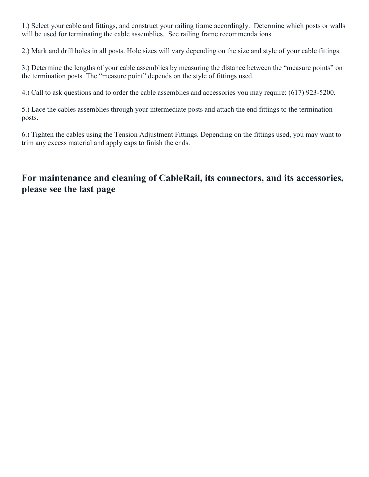1.) Select your cable and fittings, and construct your railing frame accordingly. Determine which posts or walls will be used for terminating the cable assemblies. See railing frame recommendations.

2.) Mark and drill holes in all posts. Hole sizes will vary depending on the size and style of your cable fittings.

3.) Determine the lengths of your cable assemblies by measuring the distance between the "measure points" on the termination posts. The "measure point" depends on the style of fittings used.

4.) Call to ask questions and to order the cable assemblies and accessories you may require: (617) 923-5200.

5.) Lace the cables assemblies through your intermediate posts and attach the end fittings to the termination posts.

6.) Tighten the cables using the Tension Adjustment Fittings. Depending on the fittings used, you may want to trim any excess material and apply caps to finish the ends.

## **For maintenance and cleaning of CableRail, its connectors, and its accessories, please see the last page**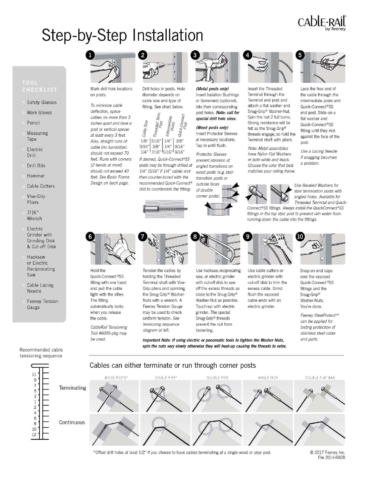# CAblE·RAIL

Lace the free end of

the cable through the

Quick-Connect®SS

end post, Slide-on a

Quick-Connect®SS

fitting until they rest

against the face of the

Use a Lacing Needle

if snagging becomes

flat washer and

post.

a problem.

intermediate posts and

# Step-by-Step Installation

# TOOL

- **Safety Glasses**
- Work Gloves
- Pencil
- Measuring Tape
- Electric Drill
- **Drill Bits**
- Hammer
- Cable Cutters
- Vise-Grip Pliers
- $7/16"$ Wrench
- Electric Grinder with **Grinding Disk** & Cut-off Disk
- Hacksaw or Electric Reciprocating Saw
- Cable Lacing Needle
- Feeney Tension Gauge

Mark drill hole locations on posts.

To minimize cable deflection, space cables no more than 3 inches apart and have a post or vertical spacer at least every 3 feet. Also, straight runs of cable (no turns/dips) should not exceed 70 feet. Runs with corners (2 hends at most) should not exceed 40 feet. See Basic Frame Design on back page.



Drill holes in posts. Hole diameter depends on cable size and type of fitting. See chart below.



If desired, Quick-Connect®SS posts may be through drilled at 1/4" (5/16" if 1/4" cable) and then counter-bored with the recommended Quick-Connect® drill to countersink the fitting.





(Metal posts only) **Insert Isolation Bushings** or Grommets (optional), into their corresponding post holes. Note: call for special drill hole sizes.

(Wood posts only) **Insert Protector Sleeves** at necessary locations. Tap in until flush.

**Protector Sleeves** prevent abrasion at angled transitions on wood posts (e.g. stair transition posts or





Insert the Threaded Terminal through the Terminal end post and attach a flat washer and Snug-Grip® Washer-Nut. Spin the nut 2 full turns. Strong resistance will be felt as the Snug-Grip® threads engage: so hold the Terminal shaft with pliers.

Note: Metal assemblies have Nylon Flat Washers in both white and black. Choose the color that best matches your railing frame.



Use Beveled Washers for stair termination posts with angled holes. Available for Threaded Terminal and Quick-

Connect®SS fittings. Always install the QuickConnect®SS fittings in the top stair post to prevent rain water from running down the cable into the fittings.



Hold the Quick-Connect®SS fitting with one hand and pull the cable tight with the other. The fitting automatically locks when you release the cable.

CableRail Tensioning Tool #6005-pkg may be used.



Tension the cables by holding the Threaded Terminal shaft with Vise-Grip pliers and spinning the Snug-Grip® Washer-Nuts with a wrench. A Feeney Tension Gauge may be used to check uniform tension. See tensioning sequence diagram at left.



Use hacksaw, reciprocating saw, or electric grinder with cut-off disk to saw off the excess threads as close to the Snug-Grip® Washer-Nut as possible. Touch-up with electric grinder. The special Snug-Grip® threads prevent the nut from loosening.

Important Note: If using electric or pneumatic tools to tighten the Washer Nuts, spin the nuts very slowly otherwise they will heat-up causing the threads to seize.



Use cable cutters or electric grinder with cut-off disk to trim the excess cable. Grind flush the exposed cable ends with an electric grinder.



Snap on end caps over the exposed Quick-Connect®SS fittings and the Snug-Grip® Washer-Nuts. You're done.

Feeney SteelProtect™ can be applied for lasting protection of stainless steel cable and parts.

tensioning sequence

 $11$ 

9  $\overline{7}$ 

5  $\overline{3}$  $\,1$  $\overline{c}$  $\overline{4}$ 6

8  $10\,$ 12



\*Offset drill holes at least 1/2" if you choose to have cables terminating at a single wood or pipe post.

© 2017 Feeney Inc. File 2014-682B

Recommended cable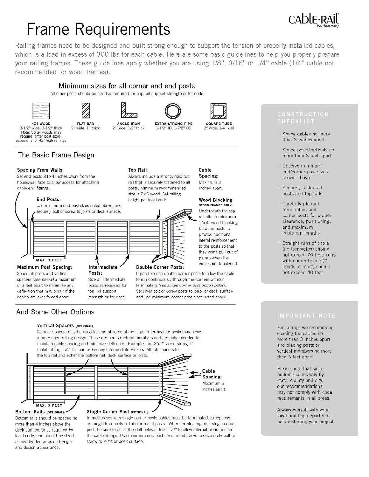# **Frame Requirements**

Railing frames need to be designed and built strong enough to support the tension of properly installed cables, which is a load in excess of 300 lbs for each cable. Here are some basic guidelines to help you properly prepare your railing frames. These guidelines apply whether you are using 1/8", 3/16" or 1/4" cable (1/4" cable not recommended for wood frames).

### Minimum sizes for all corner and end posts

All other posts should be sized as required for cap rail support strength or for code









Always include a strong, rigid top

rail that is securely fastened to all

posts. Minimum recommended

size is 2x6 wood. Set railing

height per local code.

**EXTRA STRONG PIPE** 1-1/2" ID 1-7/8" OD



#### 4X4 WOOD 3-1/2" wide, 3-1/2" thick Note: Softer woods may require larger post sizes,<br>especially for 42" high railings

**Spacing From Walls:** 

cable end fittings.

The Basic Frame Design

Set end posts 3 to 4 inches away from the

End Posts:

house/wall face to allow access for attaching

Use minimum end post sizes noted above, and

securely bolt or screw to joists or deck surface.



**ANGLE IRON** 2" wide, 1/2" thick

Top Rail:



CAblE

- Space cables no more than 3 inches apart
- Space posts/verticals no more than 3 feet apart
- Observe minimum end/corner post sizes shown above
- Securely fasten all posts and top rails
- Carefully plan all termination and corner posts for proper clearance, positioning, and maximum cable run lengths
- Straight runs of cable (no turns/dips) should not exceed 70 feet; runs with corner bends (2 bends at most) should not exceed 40 feet

#### MAX. 3 FEET **Maximum Post Spacing:** Space all posts and vertical spacers (see below) a maximum of 3 feet apart to minimize any deflection that may occur if the cables are ever forced apart.

Intermediate Posts: Size all intermediate posts as required for top rail support

## strength or for code.

## And Some Other Options

#### Vertical Spacers (OPTIONAL):

Slender spacers may be used instead of some of the larger intermediate posts to achieve a more open railing design. These are non-structural members and are only intended to maintain cable spacing and minimize deflection. Examples are 2"x2" wood strips, 1" metal tubing, 1/4" flat bar, or Feeney Intermediate Pickets. Attach spacers to the top rail and either the bottom rail, deck surface or joists.



**Bottom Rails (OPTIONAL):** Bottom rails should be spaced no more than 4 inches above the deck surface, or as required by local code, and should be sized as needed for support strength and design appearance.

#### Single Corner Post (OPTIONAL):

In most cases with single corner posts cables must be terminated. Exceptions are angle iron posts or tubular metal posts. When terminating on a single corner post, be sure to offset the drill holes at least 1/2" to allow internal clearance for the cable fittings. Use minimum end post sizes noted above and securely bolt or screw to joists or deck surface.

For railings we recommend spacing the cables no more than 3 inches apart and placing posts or vertical members no more than 3 feet apart.

Please note that since building codes vary by state, county and city, our recommendations may not comply with code requirements in all areas.

Always consult with your local building department before starting your project.



and use minimum corner post sizes noted above.

1"x 4" wood blocking between posts to provide additional

Cable

Spacing:

Maximum 3

inches apart.

**Wood Blocking** 

(WOOD FRAMES ONLY):

to the posts so that they won't pull out of plumb when the

lateral reinforcement

cables are tensioned.

If possible use double corner posts to allow the cable to run continuously through the corners without terminating (see single corner post option below). Securely bolt or screw posts to joists or deck surface

Underneath the top rail attach minimum